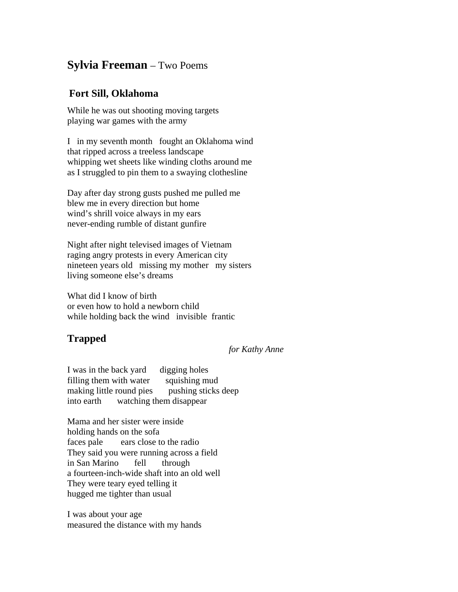## **Sylvia Freeman** – Two Poems

## **Fort Sill, Oklahoma**

While he was out shooting moving targets playing war games with the army

I in my seventh month fought an Oklahoma wind that ripped across a treeless landscape whipping wet sheets like winding cloths around me as I struggled to pin them to a swaying clothesline

Day after day strong gusts pushed me pulled me blew me in every direction but home wind's shrill voice always in my ears never-ending rumble of distant gunfire

Night after night televised images of Vietnam raging angry protests in every American city nineteen years old missing my mother my sisters living someone else's dreams

What did I know of birth or even how to hold a newborn child while holding back the wind invisible frantic

## **Trapped**

## *for Kathy Anne*

I was in the back yard digging holes filling them with water squishing mud making little round pies pushing sticks deep into earth watching them disappear

Mama and her sister were inside holding hands on the sofa faces pale ears close to the radio They said you were running across a field in San Marino fell through a fourteen-inch-wide shaft into an old well They were teary eyed telling it hugged me tighter than usual

I was about your age measured the distance with my hands